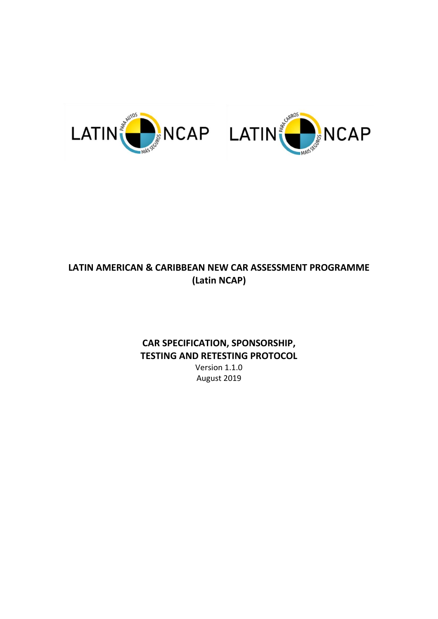

# **LATIN AMERICAN & CARIBBEAN NEW CAR ASSESSMENT PROGRAMME (Latin NCAP)**

# **CAR SPECIFICATION, SPONSORSHIP, TESTING AND RETESTING PROTOCOL**

Version 1.1.0 August 2019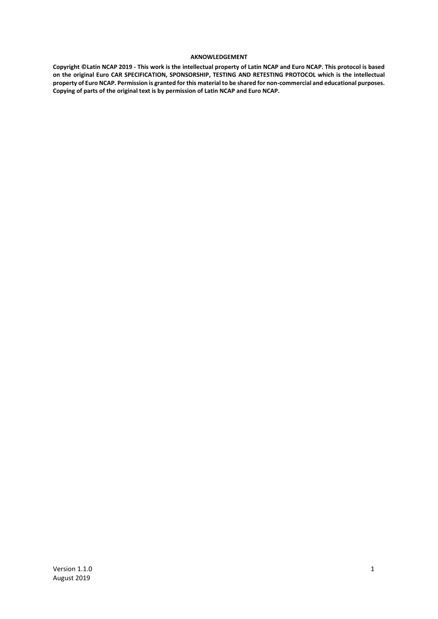#### **AKNOWLEDGEMENT**

**Copyright ©Latin NCAP 2019 - This work is the intellectual property of Latin NCAP and Euro NCAP. This protocol is based on the original Euro CAR SPECIFICATION, SPONSORSHIP, TESTING AND RETESTING PROTOCOL which is the intellectual property of Euro NCAP. Permission is granted for this material to be shared for non-commercial and educational purposes. Copying of parts of the original text is by permission of Latin NCAP and Euro NCAP.**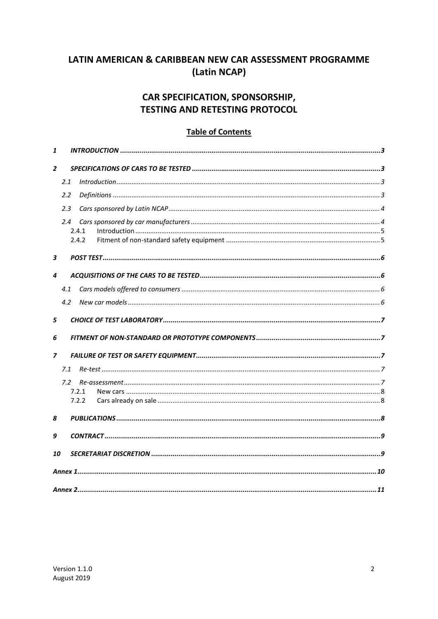# LATIN AMERICAN & CARIBBEAN NEW CAR ASSESSMENT PROGRAMME (Latin NCAP)

# CAR SPECIFICATION, SPONSORSHIP, **TESTING AND RETESTING PROTOCOL**

#### **Table of Contents**

| 1              |     |                |  |  |
|----------------|-----|----------------|--|--|
| $\overline{2}$ |     |                |  |  |
|                | 2.1 |                |  |  |
|                | 2.2 |                |  |  |
|                | 2.3 |                |  |  |
|                | 2.4 | 2.4.1<br>2.4.2 |  |  |
| 3              |     |                |  |  |
| 4              |     |                |  |  |
|                | 4.1 |                |  |  |
|                | 4.2 |                |  |  |
| 5              |     |                |  |  |
| 6              |     |                |  |  |
| $\overline{z}$ |     |                |  |  |
|                | 7.1 |                |  |  |
|                | 7.2 |                |  |  |
|                |     | 7.2.1          |  |  |
|                |     | 7.2.2          |  |  |
| 8              |     |                |  |  |
| 9              |     |                |  |  |
| 10             |     |                |  |  |
|                |     |                |  |  |
|                |     |                |  |  |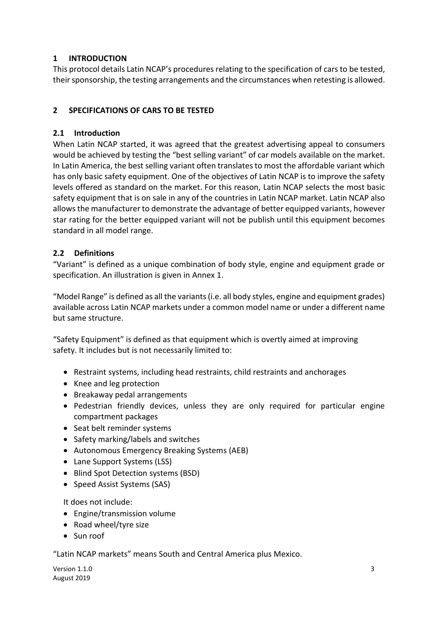## **1 INTRODUCTION**

This protocol details Latin NCAP's procedures relating to the specification of cars to be tested, their sponsorship, the testing arrangements and the circumstances when retesting is allowed.

## **2 SPECIFICATIONS OF CARS TO BE TESTED**

# **2.1 Introduction**

When Latin NCAP started, it was agreed that the greatest advertising appeal to consumers would be achieved by testing the "best selling variant" of car models available on the market. In Latin America, the best selling variant often translates to most the affordable variant which has only basic safety equipment. One of the objectives of Latin NCAP is to improve the safety levels offered as standard on the market. For this reason, Latin NCAP selects the most basic safety equipment that is on sale in any of the countries in Latin NCAP market. Latin NCAP also allows the manufacturer to demonstrate the advantage of better equipped variants, however star rating for the better equipped variant will not be publish until this equipment becomes standard in all model range.

# **2.2 Definitions**

"Variant" is defined as a unique combination of body style, engine and equipment grade or specification. An illustration is given in [Annex 1.](#page-10-0)

"Model Range" is defined as all the variants (i.e. all body styles, engine and equipment grades) available across Latin NCAP markets under a common model name or under a different name but same structure.

"Safety Equipment" is defined as that equipment which is overtly aimed at improving safety. It includes but is not necessarily limited to:

- Restraint systems, including head restraints, child restraints and anchorages
- Knee and leg protection
- Breakaway pedal arrangements
- Pedestrian friendly devices, unless they are only required for particular engine compartment packages
- Seat belt reminder systems
- Safety marking/labels and switches
- Autonomous Emergency Breaking Systems (AEB)
- Lane Support Systems (LSS)
- Blind Spot Detection systems (BSD)
- Speed Assist Systems (SAS)

It does not include:

- Engine/transmission volume
- Road wheel/tyre size
- Sun roof

"Latin NCAP markets" means South and Central America plus Mexico.

Version 1.1.0 **3** August 2019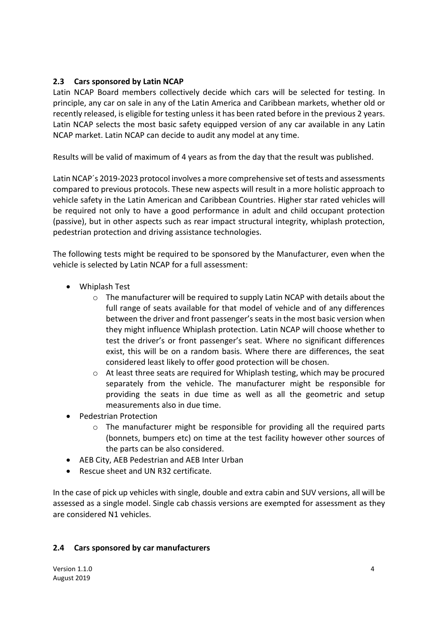#### <span id="page-4-0"></span>**2.3 Cars sponsored by Latin NCAP**

Latin NCAP Board members collectively decide which cars will be selected for testing. In principle, any car on sale in any of the Latin America and Caribbean markets, whether old or recently released, is eligible for testing unless it has been rated before in the previous 2 years. Latin NCAP selects the most basic safety equipped version of any car available in any Latin NCAP market. Latin NCAP can decide to audit any model at any time.

Results will be valid of maximum of 4 years as from the day that the result was published.

Latin NCAP´s 2019-2023 protocol involves a more comprehensive set of tests and assessments compared to previous protocols. These new aspects will result in a more holistic approach to vehicle safety in the Latin American and Caribbean Countries. Higher star rated vehicles will be required not only to have a good performance in adult and child occupant protection (passive), but in other aspects such as rear impact structural integrity, whiplash protection, pedestrian protection and driving assistance technologies.

The following tests might be required to be sponsored by the Manufacturer, even when the vehicle is selected by Latin NCAP for a full assessment:

- Whiplash Test
	- $\circ$  The manufacturer will be required to supply Latin NCAP with details about the full range of seats available for that model of vehicle and of any differences between the driver and front passenger's seats in the most basic version when they might influence Whiplash protection. Latin NCAP will choose whether to test the driver's or front passenger's seat. Where no significant differences exist, this will be on a random basis. Where there are differences, the seat considered least likely to offer good protection will be chosen.
	- $\circ$  At least three seats are required for Whiplash testing, which may be procured separately from the vehicle. The manufacturer might be responsible for providing the seats in due time as well as all the geometric and setup measurements also in due time.
- Pedestrian Protection
	- $\circ$  The manufacturer might be responsible for providing all the required parts (bonnets, bumpers etc) on time at the test facility however other sources of the parts can be also considered.
- AEB City, AEB Pedestrian and AEB Inter Urban
- Rescue sheet and UN R32 certificate.

In the case of pick up vehicles with single, double and extra cabin and SUV versions, all will be assessed as a single model. Single cab chassis versions are exempted for assessment as they are considered N1 vehicles.

#### **2.4 Cars sponsored by car manufacturers**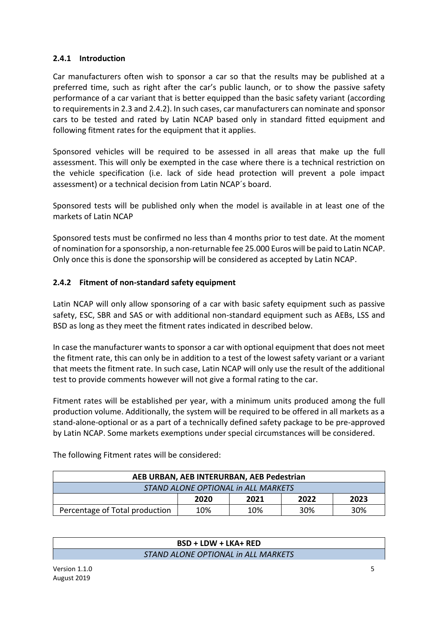#### **2.4.1 Introduction**

Car manufacturers often wish to sponsor a car so that the results may be published at a preferred time, such as right after the car's public launch, or to show the passive safety performance of a car variant that is better equipped than the basic safety variant (according to requirements in [2.3](#page-4-0) and [2.4.2\)](#page-5-0). In such cases, car manufacturers can nominate and sponsor cars to be tested and rated by Latin NCAP based only in standard fitted equipment and following fitment rates for the equipment that it applies.

Sponsored vehicles will be required to be assessed in all areas that make up the full assessment. This will only be exempted in the case where there is a technical restriction on the vehicle specification (i.e. lack of side head protection will prevent a pole impact assessment) or a technical decision from Latin NCAP´s board.

Sponsored tests will be published only when the model is available in at least one of the markets of Latin NCAP

Sponsored tests must be confirmed no less than 4 months prior to test date. At the moment of nomination for a sponsorship, a non-returnable fee 25.000 Euros will be paid to Latin NCAP. Only once this is done the sponsorship will be considered as accepted by Latin NCAP.

#### <span id="page-5-0"></span>**2.4.2 Fitment of non-standard safety equipment**

Latin NCAP will only allow sponsoring of a car with basic safety equipment such as passive safety, ESC, SBR and SAS or with additional non-standard equipment such as AEBs, LSS and BSD as long as they meet the fitment rates indicated in described below.

In case the manufacturer wants to sponsor a car with optional equipment that does not meet the fitment rate, this can only be in addition to a test of the lowest safety variant or a variant that meets the fitment rate. In such case, Latin NCAP will only use the result of the additional test to provide comments however will not give a formal rating to the car.

Fitment rates will be established per year, with a minimum units produced among the full production volume. Additionally, the system will be required to be offered in all markets as a stand-alone-optional or as a part of a technically defined safety package to be pre-approved by Latin NCAP. Some markets exemptions under special circumstances will be considered.

| AEB URBAN, AEB INTERURBAN, AEB Pedestrian |      |      |      |      |
|-------------------------------------------|------|------|------|------|
| STAND ALONE OPTIONAL in ALL MARKETS       |      |      |      |      |
|                                           | 2020 | 2021 | 2022 | 2023 |
| Percentage of Total production            | 10%  | 10%  | 30%  | 30%  |

The following Fitment rates will be considered:

## **BSD + LDW + LKA+ RED** *STAND ALONE OPTIONAL in ALL MARKETS*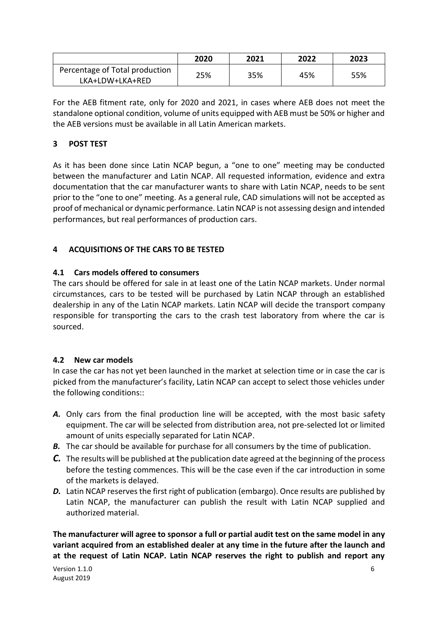|                                | 2020 | 2021 | 2022 | 2023 |
|--------------------------------|------|------|------|------|
| Percentage of Total production | 25%  | 35%  | 45%  | 55%  |
| LKA+LDW+LKA+RED                |      |      |      |      |

For the AEB fitment rate, only for 2020 and 2021, in cases where AEB does not meet the standalone optional condition, volume of units equipped with AEB must be 50% or higher and the AEB versions must be available in all Latin American markets.

# **3 POST TEST**

As it has been done since Latin NCAP begun, a "one to one" meeting may be conducted between the manufacturer and Latin NCAP. All requested information, evidence and extra documentation that the car manufacturer wants to share with Latin NCAP, needs to be sent prior to the "one to one" meeting. As a general rule, CAD simulations will not be accepted as proof of mechanical or dynamic performance. Latin NCAP is not assessing design and intended performances, but real performances of production cars.

# **4 ACQUISITIONS OF THE CARS TO BE TESTED**

## **4.1 Cars models offered to consumers**

The cars should be offered for sale in at least one of the Latin NCAP markets. Under normal circumstances, cars to be tested will be purchased by Latin NCAP through an established dealership in any of the Latin NCAP markets. Latin NCAP will decide the transport company responsible for transporting the cars to the crash test laboratory from where the car is sourced.

## **4.2 New car models**

In case the car has not yet been launched in the market at selection time or in case the car is picked from the manufacturer's facility, Latin NCAP can accept to select those vehicles under the following conditions::

- *A.* Only cars from the final production line will be accepted, with the most basic safety equipment. The car will be selected from distribution area, not pre-selected lot or limited amount of units especially separated for Latin NCAP.
- *B.* The car should be available for purchase for all consumers by the time of publication.
- *C.* The results will be published at the publication date agreed at the beginning of the process before the testing commences. This will be the case even if the car introduction in some of the markets is delayed.
- **D.** Latin NCAP reserves the first right of publication (embargo). Once results are published by Latin NCAP, the manufacturer can publish the result with Latin NCAP supplied and authorized material.

**The manufacturer will agree to sponsor a full or partial audit test on the same model in any variant acquired from an established dealer at any time in the future after the launch and at the request of Latin NCAP. Latin NCAP reserves the right to publish and report any**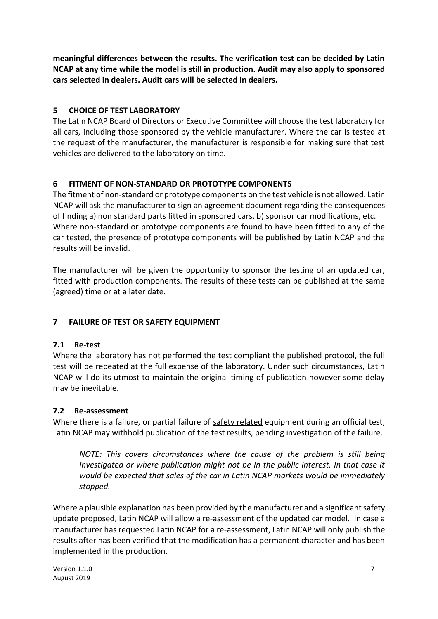**meaningful differences between the results. The verification test can be decided by Latin NCAP at any time while the model is still in production. Audit may also apply to sponsored cars selected in dealers. Audit cars will be selected in dealers.** 

## **5 CHOICE OF TEST LABORATORY**

The Latin NCAP Board of Directors or Executive Committee will choose the test laboratory for all cars, including those sponsored by the vehicle manufacturer. Where the car is tested at the request of the manufacturer, the manufacturer is responsible for making sure that test vehicles are delivered to the laboratory on time.

# **6 FITMENT OF NON-STANDARD OR PROTOTYPE COMPONENTS**

The fitment of non-standard or prototype components on the test vehicle is not allowed. Latin NCAP will ask the manufacturer to sign an agreement document regarding the consequences of finding a) non standard parts fitted in sponsored cars, b) sponsor car modifications, etc. Where non-standard or prototype components are found to have been fitted to any of the car tested, the presence of prototype components will be published by Latin NCAP and the results will be invalid.

The manufacturer will be given the opportunity to sponsor the testing of an updated car, fitted with production components. The results of these tests can be published at the same (agreed) time or at a later date.

# **7 FAILURE OF TEST OR SAFETY EQUIPMENT**

## **7.1 Re-test**

Where the laboratory has not performed the test compliant the published protocol, the full test will be repeated at the full expense of the laboratory. Under such circumstances, Latin NCAP will do its utmost to maintain the original timing of publication however some delay may be inevitable.

## **7.2 Re-assessment**

Where there is a failure, or partial failure of safety related equipment during an official test, Latin NCAP may withhold publication of the test results, pending investigation of the failure.

*NOTE: This covers circumstances where the cause of the problem is still being investigated or where publication might not be in the public interest. In that case it would be expected that sales of the car in Latin NCAP markets would be immediately stopped.*

Where a plausible explanation has been provided by the manufacturer and a significant safety update proposed, Latin NCAP will allow a re-assessment of the updated car model. In case a manufacturer has requested Latin NCAP for a re-assessment, Latin NCAP will only publish the results after has been verified that the modification has a permanent character and has been implemented in the production.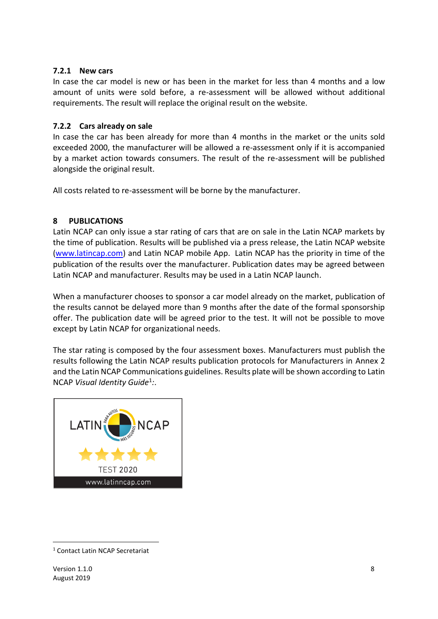#### **7.2.1 New cars**

In case the car model is new or has been in the market for less than 4 months and a low amount of units were sold before, a re-assessment will be allowed without additional requirements. The result will replace the original result on the website.

#### **7.2.2 Cars already on sale**

In case the car has been already for more than 4 months in the market or the units sold exceeded 2000, the manufacturer will be allowed a re-assessment only if it is accompanied by a market action towards consumers. The result of the re-assessment will be published alongside the original result.

All costs related to re-assessment will be borne by the manufacturer.

#### **8 PUBLICATIONS**

Latin NCAP can only issue a star rating of cars that are on sale in the Latin NCAP markets by the time of publication. Results will be published via a press release, the Latin NCAP website [\(www.latincap.com\)](http://www.latincap.com/) and Latin NCAP mobile App. Latin NCAP has the priority in time of the publication of the results over the manufacturer. Publication dates may be agreed between Latin NCAP and manufacturer. Results may be used in a Latin NCAP launch.

When a manufacturer chooses to sponsor a car model already on the market, publication of the results cannot be delayed more than 9 months after the date of the formal sponsorship offer. The publication date will be agreed prior to the test. It will not be possible to move except by Latin NCAP for organizational needs.

The star rating is composed by the four assessment boxes. Manufacturers must publish the results following the Latin NCAP results publication protocols for Manufacturers in [Annex 2](#page-11-0) and the Latin NCAP Communications guidelines. Results plate will be shown according to Latin NCAP *Visual Identity Guide*<sup>1</sup> *:*.



<sup>-</sup><sup>1</sup> Contact Latin NCAP Secretariat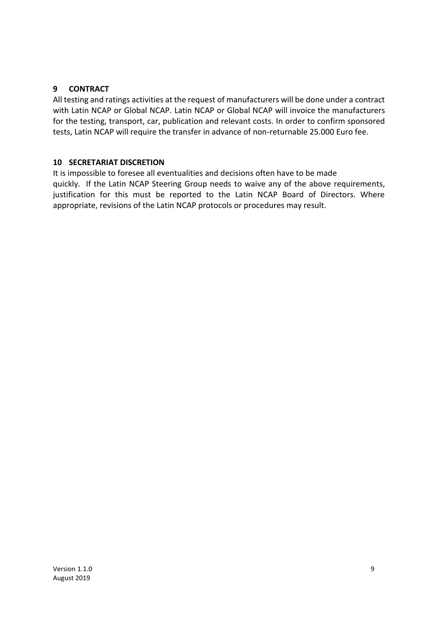#### **9 CONTRACT**

All testing and ratings activities at the request of manufacturers will be done under a contract with Latin NCAP or Global NCAP. Latin NCAP or Global NCAP will invoice the manufacturers for the testing, transport, car, publication and relevant costs. In order to confirm sponsored tests, Latin NCAP will require the transfer in advance of non-returnable 25.000 Euro fee.

#### **10 SECRETARIAT DISCRETION**

It is impossible to foresee all eventualities and decisions often have to be made quickly. If the Latin NCAP Steering Group needs to waive any of the above requirements, justification for this must be reported to the Latin NCAP Board of Directors. Where appropriate, revisions of the Latin NCAP protocols or procedures may result.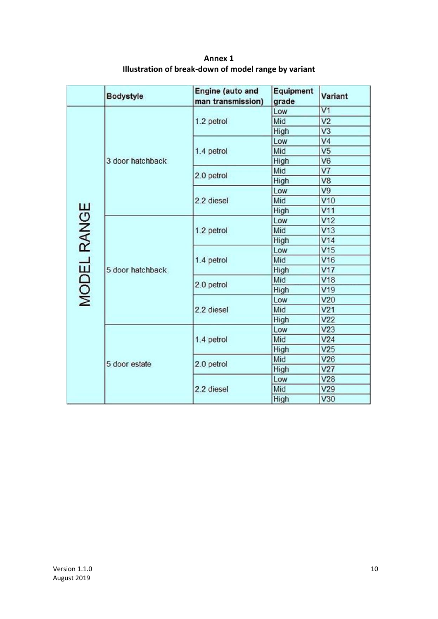<span id="page-10-0"></span>

|             | <b>Bodystyle</b> | Engine (auto and<br>man transmission) | Equipment<br>grade | Variant         |
|-------------|------------------|---------------------------------------|--------------------|-----------------|
|             | 3 door hatchback |                                       | Low                | V <sub>1</sub>  |
|             |                  | 1.2 petrol                            | Mid                | V <sub>2</sub>  |
|             |                  |                                       | High               | V <sub>3</sub>  |
|             |                  | 1.4 petrol                            | Low                | V <sub>4</sub>  |
|             |                  |                                       | Mid                | V <sub>5</sub>  |
|             |                  |                                       | High               | V <sub>6</sub>  |
|             |                  | 2.0 petrol                            | Mid                | V7              |
|             |                  |                                       | High               | V <sub>8</sub>  |
|             |                  |                                       | Low                | V <sub>9</sub>  |
|             |                  | 2.2 diesel                            | Mid                | V10             |
|             |                  |                                       | High               | V11             |
|             |                  |                                       | Low                | V <sub>12</sub> |
|             | 5 door hatchback | 1.2 petrol                            | Mid                | V13             |
| MODEL RANGE |                  |                                       | High               | V14             |
|             |                  |                                       | Low                | V15             |
|             |                  | 1.4 petrol                            | Mid                | V16             |
|             |                  |                                       | High               | V17             |
|             |                  | 2.0 petrol                            | Mid                | V18             |
|             |                  |                                       | High               | V19             |
|             |                  | 2.2 diesel                            | Low                | V20             |
|             |                  |                                       | Mid                | V <sub>21</sub> |
|             |                  |                                       | High               | V <sub>22</sub> |
|             | 5 door estate    | 1.4 petrol                            | Low                | V <sub>23</sub> |
|             |                  |                                       | Mid                | V24             |
|             |                  |                                       | High               | V25             |
|             |                  | 2.0 petrol                            | Mid                | V26             |
|             |                  |                                       | High               | V <sub>27</sub> |
|             |                  | 2.2 diesel                            | Low                | V28             |
|             |                  |                                       | Mid                | V29             |
|             |                  |                                       | <b>High</b>        | V30             |

**Annex 1 Illustration of break-down of model range by variant**